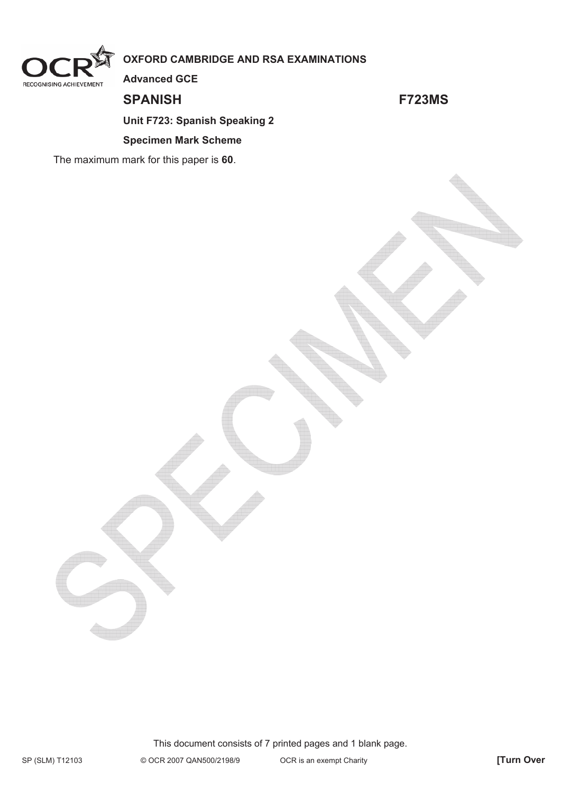

# **OXFORD CAMBRIDGE AND RSA EXAMINATIONS**

**Advanced GCE** 

**SPANISH F723MS** 

## **Unit F723: Spanish Speaking 2**

#### **Specimen Mark Scheme**

The maximum mark for this paper is **60**.

This document consists of 7 printed pages and 1 blank page.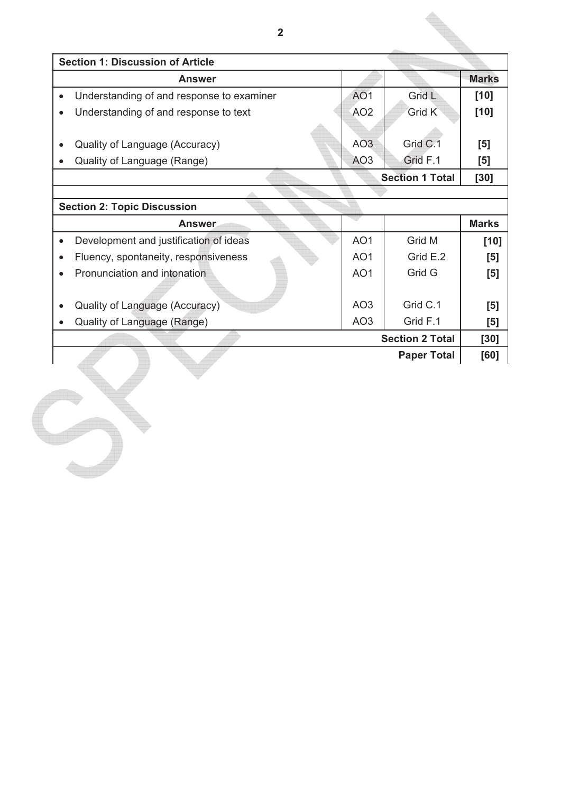| $\overline{2}$                            |                 |                        |              |
|-------------------------------------------|-----------------|------------------------|--------------|
| <b>Section 1: Discussion of Article</b>   |                 |                        |              |
| <b>Answer</b>                             |                 |                        | <b>Marks</b> |
| Understanding of and response to examiner | AO <sub>1</sub> | Grid L                 | $[10]$       |
| Understanding of and response to text     | AO <sub>2</sub> | Grid K                 | $[10]$       |
|                                           |                 |                        |              |
| Quality of Language (Accuracy)            | AO <sub>3</sub> | Grid C.1               | [5]          |
| Quality of Language (Range)               | AO <sub>3</sub> | Grid F.1               | [5]          |
|                                           |                 | <b>Section 1 Total</b> | [30]         |
|                                           |                 |                        |              |
| <b>Section 2: Topic Discussion</b>        |                 |                        |              |
| <b>Answer</b>                             |                 |                        | <b>Marks</b> |
| Development and justification of ideas    | AO <sub>1</sub> | Grid M                 | $[10]$       |
| Fluency, spontaneity, responsiveness      | AO <sub>1</sub> | Grid E.2               | [5]          |
| Pronunciation and intonation              | AO <sub>1</sub> | Grid G                 | [5]          |
|                                           |                 |                        |              |
| Quality of Language (Accuracy)            | AO <sub>3</sub> | Grid C.1               | [5]          |
| Quality of Language (Range)               | AO <sub>3</sub> | Grid F.1               | [5]          |
|                                           |                 | <b>Section 2 Total</b> | [30]         |
|                                           |                 | <b>Paper Total</b>     | [60]         |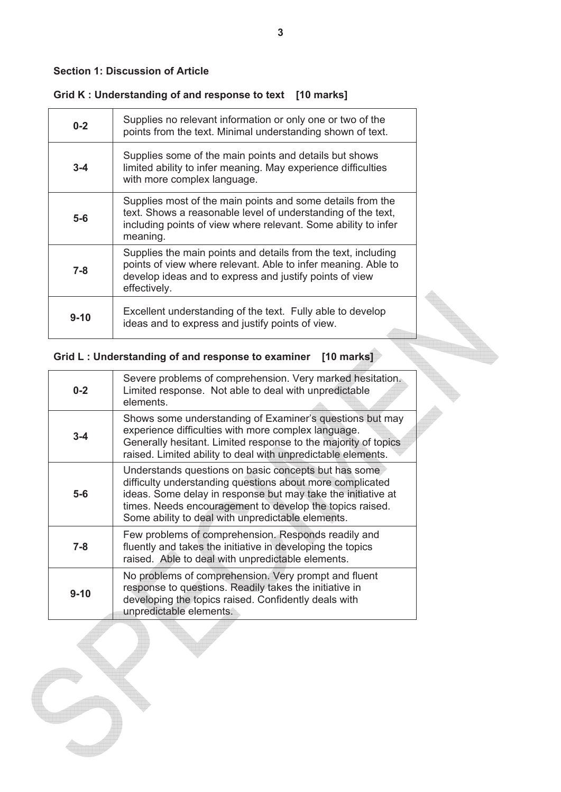#### **Section 1: Discussion of Article**

### **Grid K : Understanding of and response to text [10 marks]**

| $0 - 2$  | Supplies no relevant information or only one or two of the<br>points from the text. Minimal understanding shown of text.                                                                                  |
|----------|-----------------------------------------------------------------------------------------------------------------------------------------------------------------------------------------------------------|
| $3 - 4$  | Supplies some of the main points and details but shows<br>limited ability to infer meaning. May experience difficulties<br>with more complex language.                                                    |
| $5-6$    | Supplies most of the main points and some details from the<br>text. Shows a reasonable level of understanding of the text,<br>including points of view where relevant. Some ability to infer<br>meaning.  |
| $7 - 8$  | Supplies the main points and details from the text, including<br>points of view where relevant. Able to infer meaning. Able to<br>develop ideas and to express and justify points of view<br>effectively. |
| $9 - 10$ | Excellent understanding of the text. Fully able to develop<br>ideas and to express and justify points of view.                                                                                            |

# **Grid L : Understanding of and response to examiner [10 marks]**

| $0 - 2$  | Severe problems of comprehension. Very marked hesitation.<br>Limited response. Not able to deal with unpredictable<br>elements.                                                                                                                                                                    |
|----------|----------------------------------------------------------------------------------------------------------------------------------------------------------------------------------------------------------------------------------------------------------------------------------------------------|
| $3 - 4$  | Shows some understanding of Examiner's questions but may<br>experience difficulties with more complex language.<br>Generally hesitant. Limited response to the majority of topics<br>raised. Limited ability to deal with unpredictable elements.                                                  |
| $5-6$    | Understands questions on basic concepts but has some<br>difficulty understanding questions about more complicated<br>ideas. Some delay in response but may take the initiative at<br>times. Needs encouragement to develop the topics raised.<br>Some ability to deal with unpredictable elements. |
| $7 - 8$  | Few problems of comprehension. Responds readily and<br>fluently and takes the initiative in developing the topics<br>raised. Able to deal with unpredictable elements.                                                                                                                             |
| $9 - 10$ | No problems of comprehension. Very prompt and fluent<br>response to questions. Readily takes the initiative in<br>developing the topics raised. Confidently deals with<br>unpredictable elements.                                                                                                  |

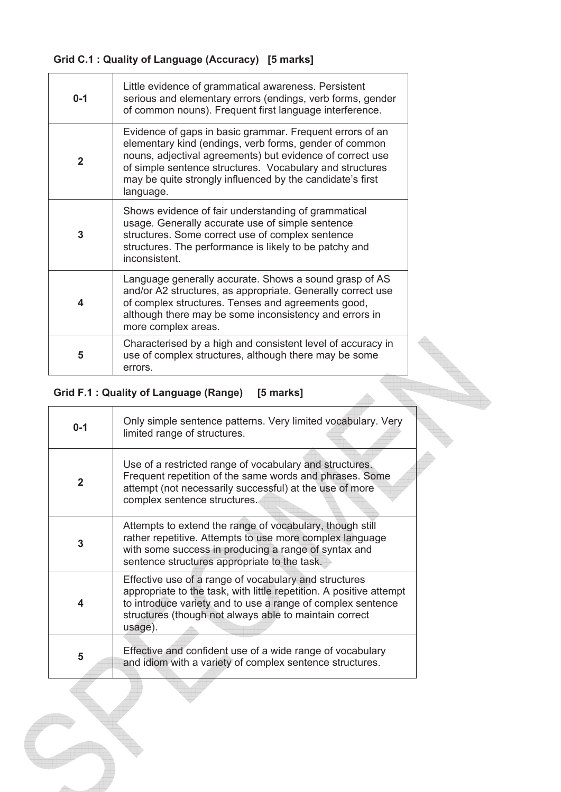# **Grid C.1 : Quality of Language (Accuracy) [5 marks]**

| $0 - 1$          | Little evidence of grammatical awareness. Persistent<br>serious and elementary errors (endings, verb forms, gender<br>of common nouns). Frequent first language interference.                                                                                                                                         |
|------------------|-----------------------------------------------------------------------------------------------------------------------------------------------------------------------------------------------------------------------------------------------------------------------------------------------------------------------|
| $\overline{2}$   | Evidence of gaps in basic grammar. Frequent errors of an<br>elementary kind (endings, verb forms, gender of common<br>nouns, adjectival agreements) but evidence of correct use<br>of simple sentence structures. Vocabulary and structures<br>may be quite strongly influenced by the candidate's first<br>language. |
| 3                | Shows evidence of fair understanding of grammatical<br>usage. Generally accurate use of simple sentence<br>structures. Some correct use of complex sentence<br>structures. The performance is likely to be patchy and<br>inconsistent.                                                                                |
| $\boldsymbol{4}$ | Language generally accurate. Shows a sound grasp of AS<br>and/or A2 structures, as appropriate. Generally correct use<br>of complex structures. Tenses and agreements good,<br>although there may be some inconsistency and errors in<br>more complex areas.                                                          |
| 5                | Characterised by a high and consistent level of accuracy in<br>use of complex structures, although there may be some<br>errors.                                                                                                                                                                                       |

# **Grid F.1 : Quality of Language (Range) [5 marks]**

| Ond T.T. Quality Of Language (Range)   Dinarks |                                                                                                                                                                                                                                                                  |  |
|------------------------------------------------|------------------------------------------------------------------------------------------------------------------------------------------------------------------------------------------------------------------------------------------------------------------|--|
| $0 - 1$                                        | Only simple sentence patterns. Very limited vocabulary. Very<br>limited range of structures.                                                                                                                                                                     |  |
| $\mathbf{2}$                                   | Use of a restricted range of vocabulary and structures.<br>Frequent repetition of the same words and phrases. Some<br>attempt (not necessarily successful) at the use of more<br>complex sentence structures.                                                    |  |
| 3                                              | Attempts to extend the range of vocabulary, though still<br>rather repetitive. Attempts to use more complex language<br>with some success in producing a range of syntax and<br>sentence structures appropriate to the task.                                     |  |
| 4                                              | Effective use of a range of vocabulary and structures<br>appropriate to the task, with little repetition. A positive attempt<br>to introduce variety and to use a range of complex sentence<br>structures (though not always able to maintain correct<br>usage). |  |
| 5                                              | Effective and confident use of a wide range of vocabulary<br>and idiom with a variety of complex sentence structures.                                                                                                                                            |  |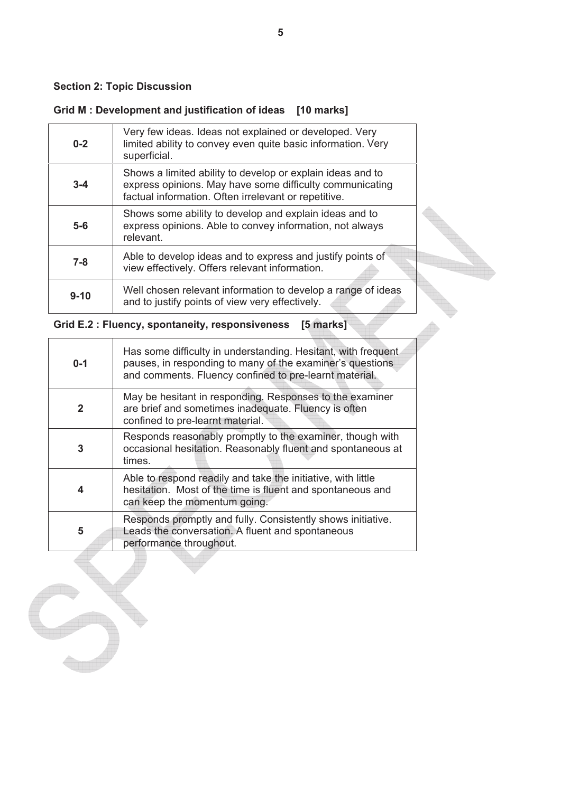### **Section 2: Topic Discussion**

# **Grid M : Development and justification of ideas [10 marks]**

| $0 - 2$  | Very few ideas. Ideas not explained or developed. Very<br>limited ability to convey even quite basic information. Very<br>superficial.                                         |  |
|----------|--------------------------------------------------------------------------------------------------------------------------------------------------------------------------------|--|
| $3 - 4$  | Shows a limited ability to develop or explain ideas and to<br>express opinions. May have some difficulty communicating<br>factual information. Often irrelevant or repetitive. |  |
| $5-6$    | Shows some ability to develop and explain ideas and to<br>express opinions. Able to convey information, not always<br>relevant.                                                |  |
| $7 - 8$  | Able to develop ideas and to express and justify points of<br>view effectively. Offers relevant information.                                                                   |  |
| $9 - 10$ | Well chosen relevant information to develop a range of ideas<br>and to justify points of view very effectively.                                                                |  |

## **Grid E.2 : Fluency, spontaneity, responsiveness [5 marks]**

| $0 - 1$      | Has some difficulty in understanding. Hesitant, with frequent<br>pauses, in responding to many of the examiner's questions<br>and comments. Fluency confined to pre-learnt material. |
|--------------|--------------------------------------------------------------------------------------------------------------------------------------------------------------------------------------|
| $\mathbf{2}$ | May be hesitant in responding. Responses to the examiner<br>are brief and sometimes inadequate. Fluency is often<br>confined to pre-learnt material.                                 |
| 3            | Responds reasonably promptly to the examiner, though with<br>occasional hesitation. Reasonably fluent and spontaneous at<br>times.                                                   |
| 4            | Able to respond readily and take the initiative, with little<br>hesitation. Most of the time is fluent and spontaneous and<br>can keep the momentum going.                           |
| 5            | Responds promptly and fully. Consistently shows initiative.<br>Leads the conversation. A fluent and spontaneous<br>performance throughout.                                           |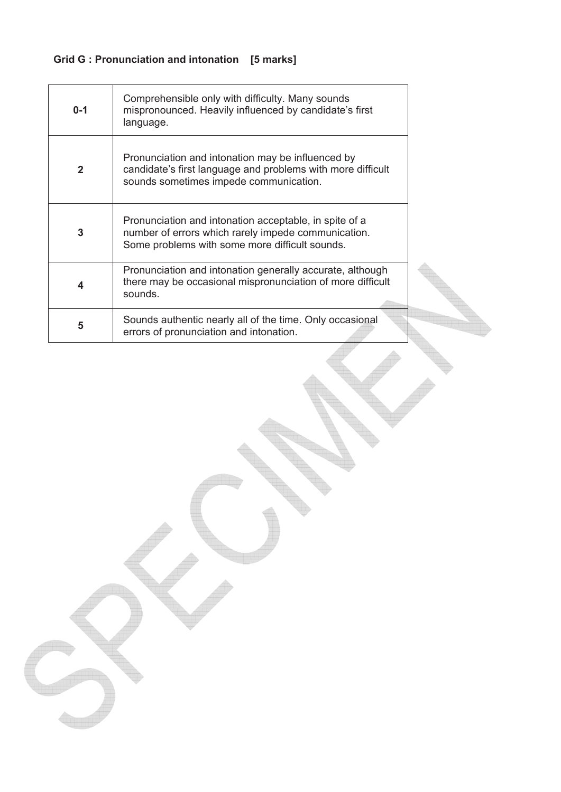# **Grid G : Pronunciation and intonation [5 marks]**

| $0 - 1$          | Comprehensible only with difficulty. Many sounds<br>mispronounced. Heavily influenced by candidate's first<br>language.                                         |  |
|------------------|-----------------------------------------------------------------------------------------------------------------------------------------------------------------|--|
| $\mathbf{2}$     | Pronunciation and intonation may be influenced by<br>candidate's first language and problems with more difficult<br>sounds sometimes impede communication.      |  |
| 3                | Pronunciation and intonation acceptable, in spite of a<br>number of errors which rarely impede communication.<br>Some problems with some more difficult sounds. |  |
| $\boldsymbol{4}$ | Pronunciation and intonation generally accurate, although<br>there may be occasional mispronunciation of more difficult<br>sounds.                              |  |
| 5                | Sounds authentic nearly all of the time. Only occasional<br>errors of pronunciation and intonation.                                                             |  |